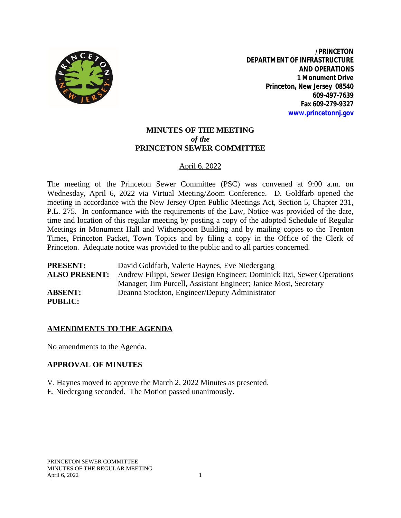

**/PRINCETON DEPARTMENT OF INFRASTRUCTURE AND OPERATIONS 1 Monument Drive Princeton, New Jersey 08540 609-497-7639 Fax 609-279-9327 [www.princetonnj.gov](http://www.princetonnj.gov)**

# **MINUTES OF THE MEETING** *of the* **PRINCETON SEWER COMMITTEE**

## April 6, 2022

The meeting of the Princeton Sewer Committee (PSC) was convened at 9:00 a.m. on Wednesday, April 6, 2022 via Virtual Meeting/Zoom Conference. D. Goldfarb opened the meeting in accordance with the New Jersey Open Public Meetings Act, Section 5, Chapter 231, P.L. 275. In conformance with the requirements of the Law, Notice was provided of the date, time and location of this regular meeting by posting a copy of the adopted Schedule of Regular Meetings in Monument Hall and Witherspoon Building and by mailing copies to the Trenton Times, Princeton Packet, Town Topics and by filing a copy in the Office of the Clerk of Princeton. Adequate notice was provided to the public and to all parties concerned.

**PRESENT:** David Goldfarb, Valerie Haynes, Eve Niedergang **ALSO PRESENT:** Andrew Filippi, Sewer Design Engineer; Dominick Itzi, Sewer Operations Manager; Jim Purcell, Assistant Engineer; Janice Most, Secretary **ABSENT:** Deanna Stockton, Engineer/Deputy Administrator **PUBLIC:**

## **AMENDMENTS TO THE AGENDA**

No amendments to the Agenda.

#### **APPROVAL OF MINUTES**

V. Haynes moved to approve the March 2, 2022 Minutes as presented. E. Niedergang seconded. The Motion passed unanimously.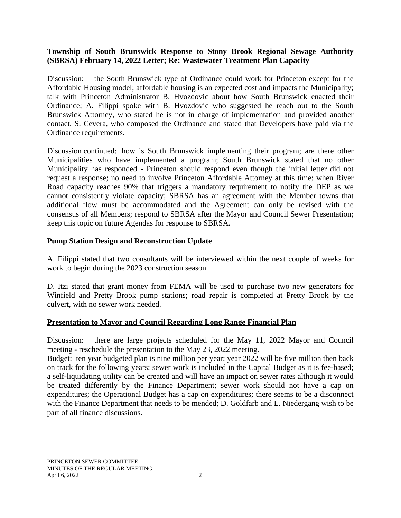### **Township of South Brunswick Response to Stony Brook Regional Sewage Authority (SBRSA) February 14, 2022 Letter; Re: Wastewater Treatment Plan Capacity**

Discussion: the South Brunswick type of Ordinance could work for Princeton except for the Affordable Housing model; affordable housing is an expected cost and impacts the Municipality; talk with Princeton Administrator B. Hvozdovic about how South Brunswick enacted their Ordinance; A. Filippi spoke with B. Hvozdovic who suggested he reach out to the South Brunswick Attorney, who stated he is not in charge of implementation and provided another contact, S. Cevera, who composed the Ordinance and stated that Developers have paid via the Ordinance requirements.

Discussion continued: how is South Brunswick implementing their program; are there other Municipalities who have implemented a program; South Brunswick stated that no other Municipality has responded - Princeton should respond even though the initial letter did not request a response; no need to involve Princeton Affordable Attorney at this time; when River Road capacity reaches 90% that triggers a mandatory requirement to notify the DEP as we cannot consistently violate capacity; SBRSA has an agreement with the Member towns that additional flow must be accommodated and the Agreement can only be revised with the consensus of all Members; respond to SBRSA after the Mayor and Council Sewer Presentation; keep this topic on future Agendas for response to SBRSA.

### **Pump Station Design and Reconstruction Update**

A. Filippi stated that two consultants will be interviewed within the next couple of weeks for work to begin during the 2023 construction season.

D. Itzi stated that grant money from FEMA will be used to purchase two new generators for Winfield and Pretty Brook pump stations; road repair is completed at Pretty Brook by the culvert, with no sewer work needed.

## **Presentation to Mayor and Council Regarding Long Range Financial Plan**

Discussion: there are large projects scheduled for the May 11, 2022 Mayor and Council meeting - reschedule the presentation to the May 23, 2022 meeting.

Budget: ten year budgeted plan is nine million per year; year 2022 will be five million then back on track for the following years; sewer work is included in the Capital Budget as it is fee-based; a self-liquidating utility can be created and will have an impact on sewer rates although it would be treated differently by the Finance Department; sewer work should not have a cap on expenditures; the Operational Budget has a cap on expenditures; there seems to be a disconnect with the Finance Department that needs to be mended; D. Goldfarb and E. Niedergang wish to be part of all finance discussions.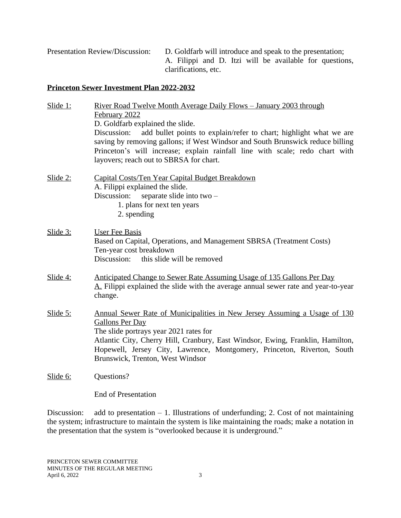Presentation Review/Discussion: D. Goldfarb will introduce and speak to the presentation; A. Filippi and D. Itzi will be available for questions, clarifications, etc.

#### **Princeton Sewer Investment Plan 2022-2032**

| Slide 1:       | <u> River Road Twelve Month Average Daily Flows – January 2003 through</u><br>February 2022                                                                                                                                                                                                                                                    |
|----------------|------------------------------------------------------------------------------------------------------------------------------------------------------------------------------------------------------------------------------------------------------------------------------------------------------------------------------------------------|
|                | D. Goldfarb explained the slide.<br>Discussion:<br>add bullet points to explain/refer to chart; highlight what we are<br>saving by removing gallons; if West Windsor and South Brunswick reduce billing<br>Princeton's will increase; explain rainfall line with scale; redo chart with<br>layovers; reach out to SBRSA for chart.             |
| Slide $2$ :    | Capital Costs/Ten Year Capital Budget Breakdown<br>A. Filippi explained the slide.<br>Discussion:<br>separate slide into two -<br>1. plans for next ten years<br>2. spending                                                                                                                                                                   |
| $S$ lide $3$ : | <b>User Fee Basis</b><br>Based on Capital, Operations, and Management SBRSA (Treatment Costs)<br>Ten-year cost breakdown<br>Discussion:<br>this slide will be removed                                                                                                                                                                          |
| $S$ lide 4:    | Anticipated Change to Sewer Rate Assuming Usage of 135 Gallons Per Day<br>A. Filippi explained the slide with the average annual sewer rate and year-to-year<br>change.                                                                                                                                                                        |
| Slide $5$ :    | Annual Sewer Rate of Municipalities in New Jersey Assuming a Usage of 130<br><b>Gallons Per Day</b><br>The slide portrays year 2021 rates for<br>Atlantic City, Cherry Hill, Cranbury, East Windsor, Ewing, Franklin, Hamilton,<br>Hopewell, Jersey City, Lawrence, Montgomery, Princeton, Riverton, South<br>Brunswick, Trenton, West Windsor |
| Slide 6:       | Questions?                                                                                                                                                                                                                                                                                                                                     |

End of Presentation

Discussion: add to presentation  $-1$ . Illustrations of underfunding; 2. Cost of not maintaining the system; infrastructure to maintain the system is like maintaining the roads; make a notation in the presentation that the system is "overlooked because it is underground."